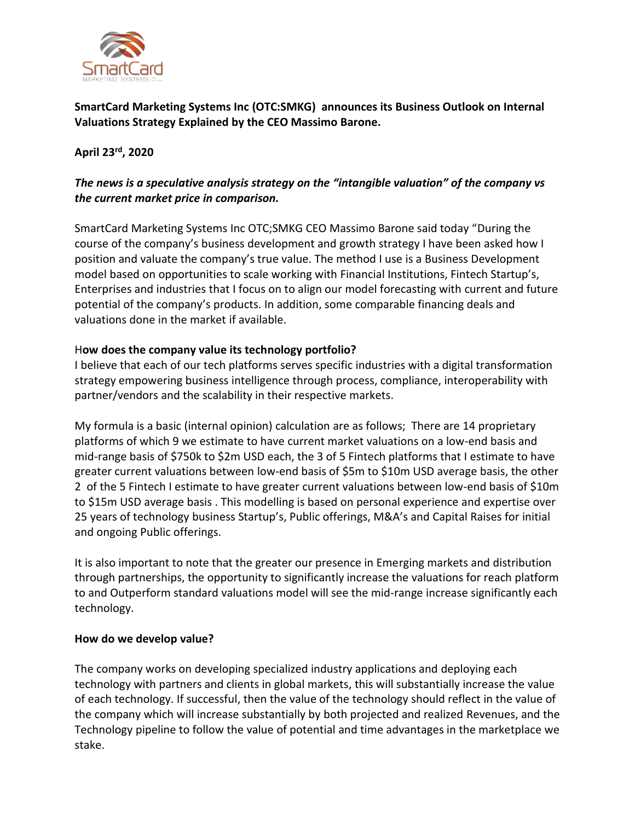

**SmartCard Marketing Systems Inc (OTC:SMKG) announces its Business Outlook on Internal Valuations Strategy Explained by the CEO Massimo Barone.** 

## **April 23 rd , 2020**

# *The news is a speculative analysis strategy on the "intangible valuation" of the company vs the current market price in comparison.*

SmartCard Marketing Systems Inc OTC;SMKG CEO Massimo Barone said today "During the course of the company's business development and growth strategy I have been asked how I position and valuate the company's true value. The method I use is a Business Development model based on opportunities to scale working with Financial Institutions, Fintech Startup's, Enterprises and industries that I focus on to align our model forecasting with current and future potential of the company's products. In addition, some comparable financing deals and valuations done in the market if available.

### H**ow does the company value its technology portfolio?**

I believe that each of our tech platforms serves specific industries with a digital transformation strategy empowering business intelligence through process, compliance, interoperability with partner/vendors and the scalability in their respective markets.

My formula is a basic (internal opinion) calculation are as follows; There are 14 proprietary platforms of which 9 we estimate to have current market valuations on a low-end basis and mid-range basis of \$750k to \$2m USD each, the 3 of 5 Fintech platforms that I estimate to have greater current valuations between low-end basis of \$5m to \$10m USD average basis, the other 2 of the 5 Fintech I estimate to have greater current valuations between low-end basis of \$10m to \$15m USD average basis . This modelling is based on personal experience and expertise over 25 years of technology business Startup's, Public offerings, M&A's and Capital Raises for initial and ongoing Public offerings.

It is also important to note that the greater our presence in Emerging markets and distribution through partnerships, the opportunity to significantly increase the valuations for reach platform to and Outperform standard valuations model will see the mid-range increase significantly each technology.

#### **How do we develop value?**

The company works on developing specialized industry applications and deploying each technology with partners and clients in global markets, this will substantially increase the value of each technology. If successful, then the value of the technology should reflect in the value of the company which will increase substantially by both projected and realized Revenues, and the Technology pipeline to follow the value of potential and time advantages in the marketplace we stake.